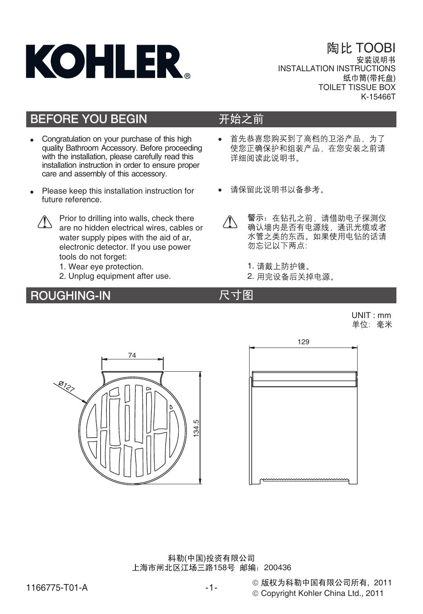

陶比 TOOBI INSTALLATION INSTRUCTIONS 纸巾筒(带托盘) TOILET TISSUE BOX K-15466T

## BEFORE YOU BEGIN

- -Congratulation on your purchase of this high quality Bathroom Accessory. Before proceeding with the installation, please carefully read this installation instruction in order to ensure proper care and assembly of this accessory.
- -Please keep this installation instruction for future reference.



Prior to drilling into walls, check there are no hidden electrical wires, cables or water supply pipes with the aid of ar. electronic detector. If you use power tools do not forget:

- 1. Wear eye protection.
- 2. Unplug equipment after use.

## ROUGHING-IN

## 开始之前

- -首先恭喜您购买到了高档的卫浴产品,为了 使您正确保护和组装产品,在您安装之前请 详细阅读此说明书
- -请保留此说明书以备参考。
- 警示: 在钻孔之前, 请借助电子探测仪  $\sqrt{N}$ 确认墙内是否有电源线、通讯光缆或者 水管之类的东西。如果使用电钻的话请 勿忘记以下两点:
	- 1. 请戴上防护镜。
	- 2. 用完设备后关掉电源。

## 尺寸图

UNIT : mm<br>单位: 毫米





© Copyright Kohler China Ltd., 2011